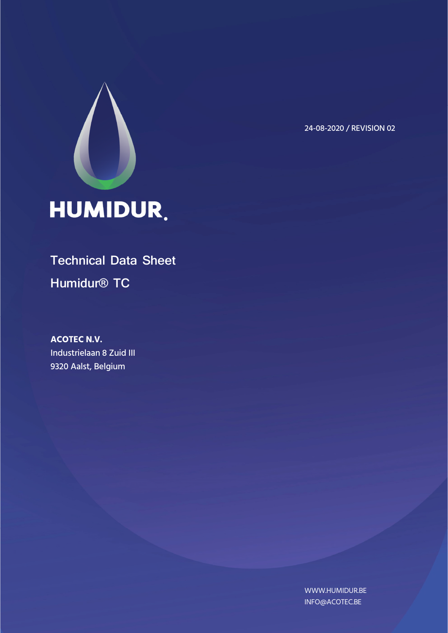

24-08-2020 / REVISION 02

# **Technical Data Sheet Humidur® TC**

**ACOTEC N.V.**  Industrielaan 8 Zuid III 9320 Aalst, Belgium

> WWW.HUMIDUR.BE INFO@ACOTEC.BE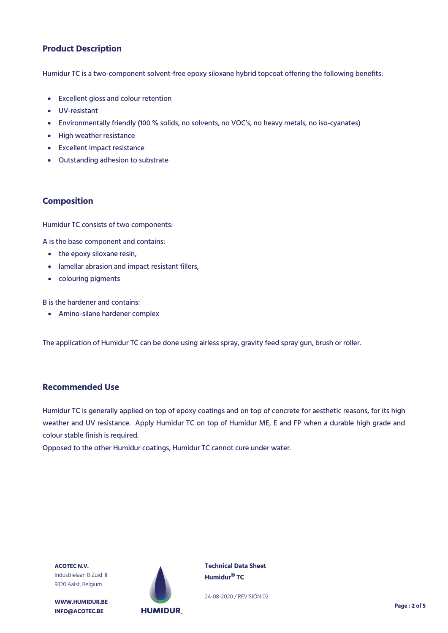# **Product Description**

Humidur TC is a two-component solvent-free epoxy siloxane hybrid topcoat offering the following benefits:

- Excellent gloss and colour retention
- UV-resistant
- Environmentally friendly (100 % solids, no solvents, no VOC's, no heavy metals, no iso-cyanates)
- High weather resistance
- Excellent impact resistance
- Outstanding adhesion to substrate

#### **Composition**

Humidur TC consists of two components:

A is the base component and contains:

- the epoxy siloxane resin,
- lamellar abrasion and impact resistant fillers,
- colouring pigments

B is the hardener and contains:

Amino-silane hardener complex

The application of Humidur TC can be done using airless spray, gravity feed spray gun, brush or roller.

#### **Recommended Use**

Humidur TC is generally applied on top of epoxy coatings and on top of concrete for aesthetic reasons, for its high weather and UV resistance. Apply Humidur TC on top of Humidur ME, E and FP when a durable high grade and colour stable finish is required.

Opposed to the other Humidur coatings, Humidur TC cannot cure under water.

**ACOTEC N.V.** Industrielaan 8 Zuid III 9320 Aalst, Belgium

**WWW.HUMIDUR.BE INFO@ACOTEC.BE** 



**Technical Data Sheet Humidur® TC**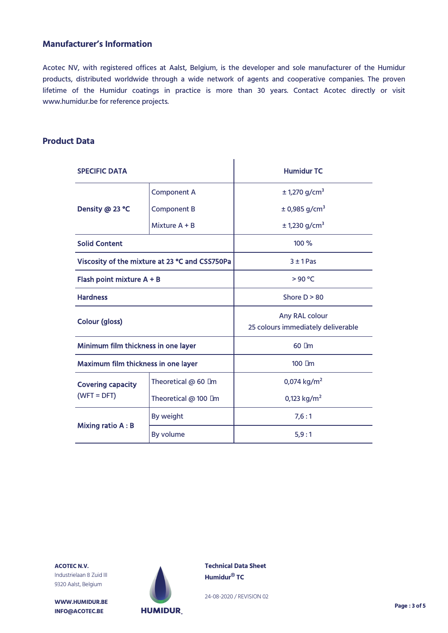# **Manufacturer's Information**

Acotec NV, with registered offices at Aalst, Belgium, is the developer and sole manufacturer of the Humidur products, distributed worldwide through a wide network of agents and cooperative companies. The proven lifetime of the Humidur coatings in practice is more than 30 years. Contact Acotec directly or visit www.humidur.be for reference projects.

#### **Product Data**

| <b>SPECIFIC DATA</b>                           |                      | <b>Humidur TC</b>                                    |  |
|------------------------------------------------|----------------------|------------------------------------------------------|--|
|                                                | <b>Component A</b>   | $± 1,270$ g/cm <sup>3</sup>                          |  |
| Density @ 23 °C                                | <b>Component B</b>   | $± 0,985$ g/cm <sup>3</sup>                          |  |
|                                                | Mixture $A + B$      | ± 1,230 g/cm <sup>3</sup>                            |  |
| <b>Solid Content</b>                           |                      | 100 %                                                |  |
| Viscosity of the mixture at 23 °C and CSS750Pa |                      | $3 ± 1$ Pas                                          |  |
| Flash point mixture A + B                      |                      | >90 °C                                               |  |
| <b>Hardness</b>                                |                      | Shore $D > 80$                                       |  |
| <b>Colour (gloss)</b>                          |                      | Any RAL colour<br>25 colours immediately deliverable |  |
| Minimum film thickness in one layer            |                      | $60 \mu m$                                           |  |
| Maximum film thickness in one layer            |                      | $100 \mu m$                                          |  |
| <b>Covering capacity</b>                       | Theoretical @ 60 µm  | 0,074 kg/m <sup>2</sup>                              |  |
| $(WFT = DFT)$                                  | Theoretical @ 100 µm | 0,123 kg/m <sup>2</sup>                              |  |
|                                                | By weight            | 7,6:1                                                |  |
| Mixing ratio A : B                             | By volume            | 5,9:1                                                |  |

**ACOTEC N.V.** Industrielaan 8 Zuid III 9320 Aalst, Belgium

**WWW.HUMIDUR.BE INFO@ACOTEC.BE** 



**Technical Data Sheet Humidur® TC**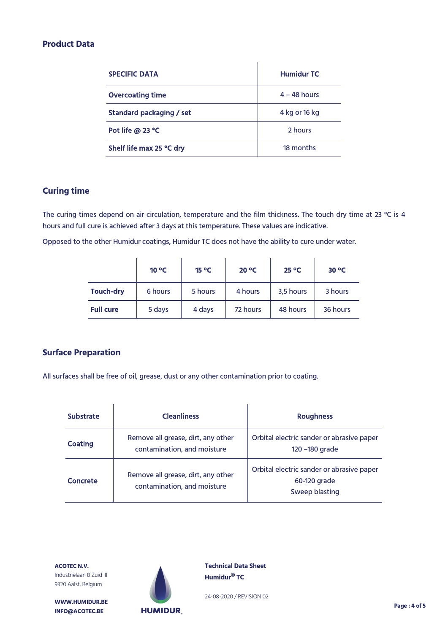## **Product Data**

| <b>SPECIFIC DATA</b>     | <b>Humidur TC</b> |
|--------------------------|-------------------|
| <b>Overcoating time</b>  | $4 - 48$ hours    |
| Standard packaging / set | 4 kg or 16 kg     |
| Pot life @ 23 °C         | 2 hours           |
| Shelf life max 25 °C dry | 18 months         |

# **Curing time**

The curing times depend on air circulation, temperature and the film thickness. The touch dry time at 23 °C is 4 hours and full cure is achieved after 3 days at this temperature. These values are indicative.

Opposed to the other Humidur coatings, Humidur TC does not have the ability to cure under water.

|                  | $10^{\circ}$ C | $15^{\circ}$ C | $20^{\circ}$ C | $25^{\circ}$ C | $30^{\circ}$ C |
|------------------|----------------|----------------|----------------|----------------|----------------|
| <b>Touch-dry</b> | 6 hours        | 5 hours        | 4 hours        | 3,5 hours      | 3 hours        |
| <b>Full cure</b> | 5 days         | 4 days         | 72 hours       | 48 hours       | 36 hours       |

#### **Surface Preparation**

All surfaces shall be free of oil, grease, dust or any other contamination prior to coating.

| <b>Substrate</b> | <b>Cleanliness</b>                                                | <b>Roughness</b>                                                            |
|------------------|-------------------------------------------------------------------|-----------------------------------------------------------------------------|
| <b>Coating</b>   | Remove all grease, dirt, any other<br>contamination, and moisture | Orbital electric sander or abrasive paper<br>120 - 180 grade                |
| Concrete         | Remove all grease, dirt, any other<br>contamination, and moisture | Orbital electric sander or abrasive paper<br>60-120 grade<br>Sweep blasting |



**WWW.HUMIDUR.BE INFO@ACOTEC.BE** 



**Technical Data Sheet Humidur® TC**